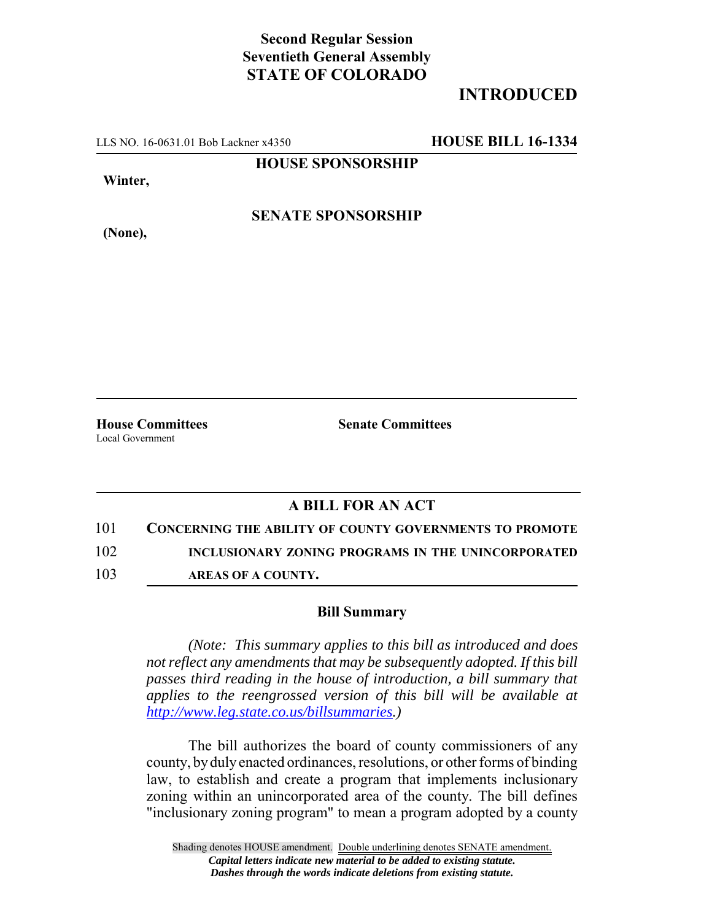## **Second Regular Session Seventieth General Assembly STATE OF COLORADO**

## **INTRODUCED**

LLS NO. 16-0631.01 Bob Lackner x4350 **HOUSE BILL 16-1334**

**HOUSE SPONSORSHIP**

**Winter,**

**(None),**

**SENATE SPONSORSHIP**

Local Government

**House Committees Senate Committees** 

## **A BILL FOR AN ACT**

101 **CONCERNING THE ABILITY OF COUNTY GOVERNMENTS TO PROMOTE**

102 **INCLUSIONARY ZONING PROGRAMS IN THE UNINCORPORATED**

103 **AREAS OF A COUNTY.**

## **Bill Summary**

*(Note: This summary applies to this bill as introduced and does not reflect any amendments that may be subsequently adopted. If this bill passes third reading in the house of introduction, a bill summary that applies to the reengrossed version of this bill will be available at http://www.leg.state.co.us/billsummaries.)*

The bill authorizes the board of county commissioners of any county, by duly enacted ordinances, resolutions, or other forms of binding law, to establish and create a program that implements inclusionary zoning within an unincorporated area of the county. The bill defines "inclusionary zoning program" to mean a program adopted by a county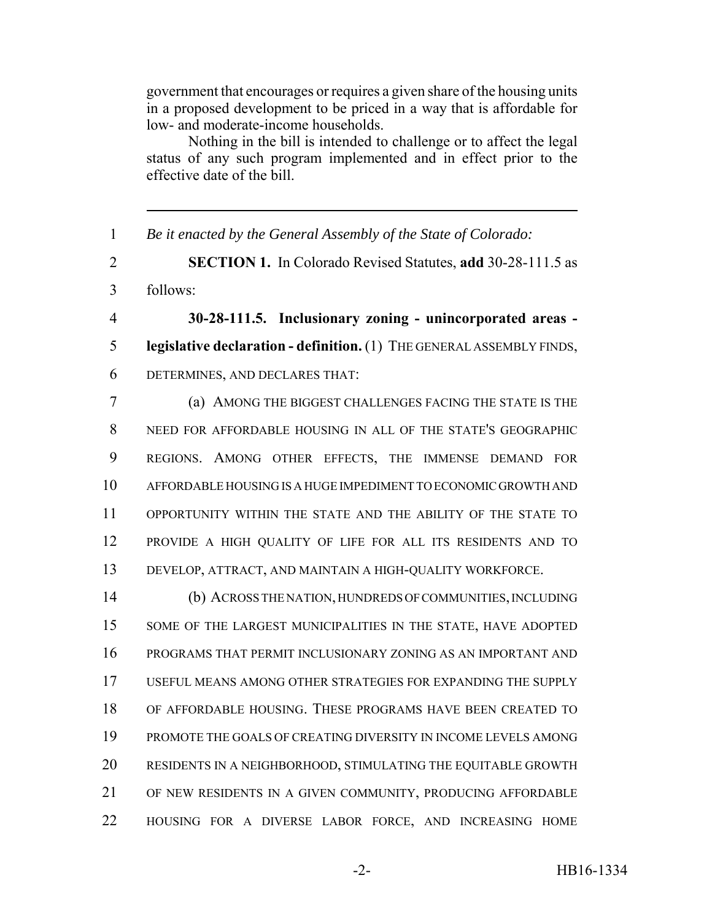government that encourages or requires a given share of the housing units in a proposed development to be priced in a way that is affordable for low- and moderate-income households.

Nothing in the bill is intended to challenge or to affect the legal status of any such program implemented and in effect prior to the effective date of the bill.

 *Be it enacted by the General Assembly of the State of Colorado:* **SECTION 1.** In Colorado Revised Statutes, **add** 30-28-111.5 as follows: **30-28-111.5. Inclusionary zoning - unincorporated areas - legislative declaration - definition.** (1) THE GENERAL ASSEMBLY FINDS, DETERMINES, AND DECLARES THAT: (a) AMONG THE BIGGEST CHALLENGES FACING THE STATE IS THE NEED FOR AFFORDABLE HOUSING IN ALL OF THE STATE'S GEOGRAPHIC REGIONS. AMONG OTHER EFFECTS, THE IMMENSE DEMAND FOR AFFORDABLE HOUSING IS A HUGE IMPEDIMENT TO ECONOMIC GROWTH AND OPPORTUNITY WITHIN THE STATE AND THE ABILITY OF THE STATE TO PROVIDE A HIGH QUALITY OF LIFE FOR ALL ITS RESIDENTS AND TO DEVELOP, ATTRACT, AND MAINTAIN A HIGH-QUALITY WORKFORCE. (b) ACROSS THE NATION, HUNDREDS OF COMMUNITIES, INCLUDING SOME OF THE LARGEST MUNICIPALITIES IN THE STATE, HAVE ADOPTED PROGRAMS THAT PERMIT INCLUSIONARY ZONING AS AN IMPORTANT AND USEFUL MEANS AMONG OTHER STRATEGIES FOR EXPANDING THE SUPPLY OF AFFORDABLE HOUSING. THESE PROGRAMS HAVE BEEN CREATED TO PROMOTE THE GOALS OF CREATING DIVERSITY IN INCOME LEVELS AMONG RESIDENTS IN A NEIGHBORHOOD, STIMULATING THE EQUITABLE GROWTH

- OF NEW RESIDENTS IN A GIVEN COMMUNITY, PRODUCING AFFORDABLE
- HOUSING FOR A DIVERSE LABOR FORCE, AND INCREASING HOME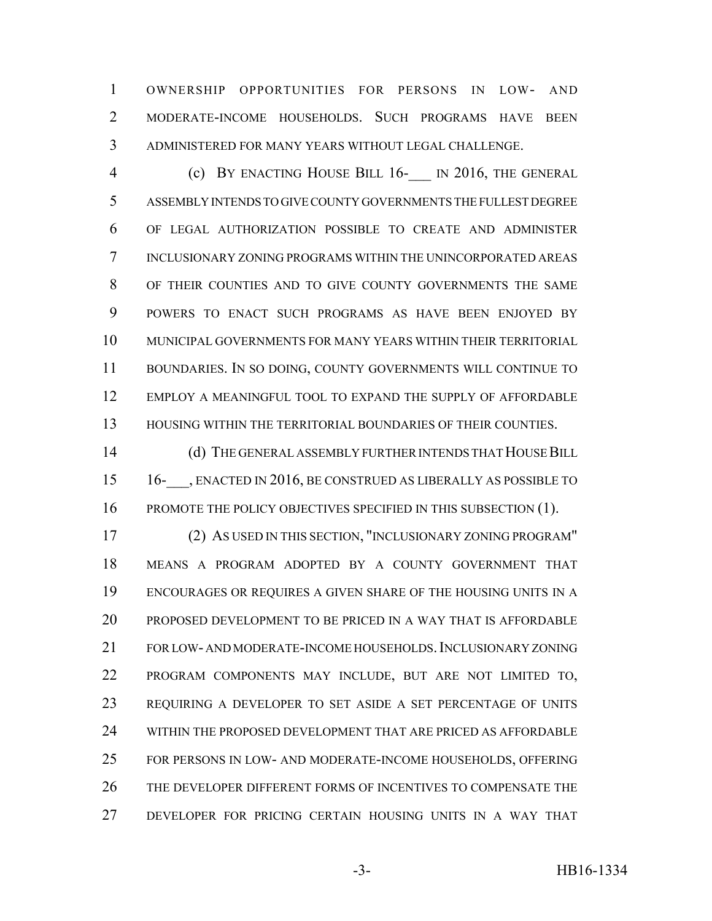OWNERSHIP OPPORTUNITIES FOR PERSONS IN LOW- AND MODERATE-INCOME HOUSEHOLDS. SUCH PROGRAMS HAVE BEEN ADMINISTERED FOR MANY YEARS WITHOUT LEGAL CHALLENGE.

4 (c) BY ENACTING HOUSE BILL 16- IN 2016, THE GENERAL ASSEMBLY INTENDS TO GIVE COUNTY GOVERNMENTS THE FULLEST DEGREE OF LEGAL AUTHORIZATION POSSIBLE TO CREATE AND ADMINISTER INCLUSIONARY ZONING PROGRAMS WITHIN THE UNINCORPORATED AREAS OF THEIR COUNTIES AND TO GIVE COUNTY GOVERNMENTS THE SAME POWERS TO ENACT SUCH PROGRAMS AS HAVE BEEN ENJOYED BY MUNICIPAL GOVERNMENTS FOR MANY YEARS WITHIN THEIR TERRITORIAL BOUNDARIES. IN SO DOING, COUNTY GOVERNMENTS WILL CONTINUE TO EMPLOY A MEANINGFUL TOOL TO EXPAND THE SUPPLY OF AFFORDABLE HOUSING WITHIN THE TERRITORIAL BOUNDARIES OF THEIR COUNTIES.

 (d) THE GENERAL ASSEMBLY FURTHER INTENDS THAT HOUSE BILL 15 16- , ENACTED IN 2016, BE CONSTRUED AS LIBERALLY AS POSSIBLE TO 16 PROMOTE THE POLICY OBJECTIVES SPECIFIED IN THIS SUBSECTION (1).

 (2) AS USED IN THIS SECTION, "INCLUSIONARY ZONING PROGRAM" MEANS A PROGRAM ADOPTED BY A COUNTY GOVERNMENT THAT ENCOURAGES OR REQUIRES A GIVEN SHARE OF THE HOUSING UNITS IN A PROPOSED DEVELOPMENT TO BE PRICED IN A WAY THAT IS AFFORDABLE FOR LOW- AND MODERATE-INCOME HOUSEHOLDS.INCLUSIONARY ZONING PROGRAM COMPONENTS MAY INCLUDE, BUT ARE NOT LIMITED TO, REQUIRING A DEVELOPER TO SET ASIDE A SET PERCENTAGE OF UNITS WITHIN THE PROPOSED DEVELOPMENT THAT ARE PRICED AS AFFORDABLE FOR PERSONS IN LOW- AND MODERATE-INCOME HOUSEHOLDS, OFFERING THE DEVELOPER DIFFERENT FORMS OF INCENTIVES TO COMPENSATE THE DEVELOPER FOR PRICING CERTAIN HOUSING UNITS IN A WAY THAT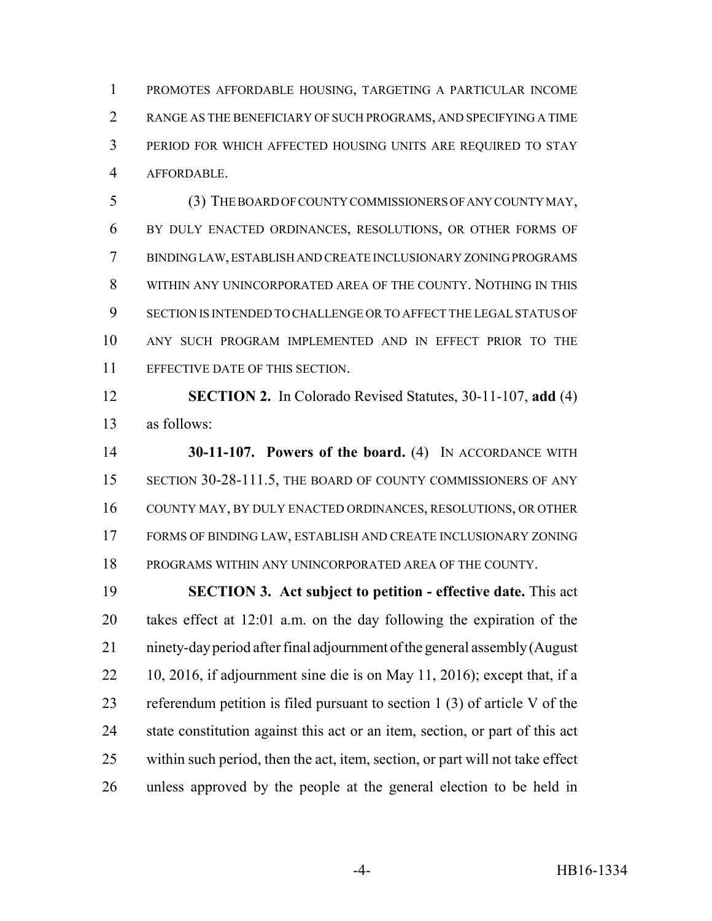PROMOTES AFFORDABLE HOUSING, TARGETING A PARTICULAR INCOME RANGE AS THE BENEFICIARY OF SUCH PROGRAMS, AND SPECIFYING A TIME PERIOD FOR WHICH AFFECTED HOUSING UNITS ARE REQUIRED TO STAY AFFORDABLE.

 (3) THE BOARD OF COUNTY COMMISSIONERS OF ANY COUNTY MAY, BY DULY ENACTED ORDINANCES, RESOLUTIONS, OR OTHER FORMS OF BINDING LAW, ESTABLISH AND CREATE INCLUSIONARY ZONING PROGRAMS WITHIN ANY UNINCORPORATED AREA OF THE COUNTY. NOTHING IN THIS SECTION IS INTENDED TO CHALLENGE OR TO AFFECT THE LEGAL STATUS OF ANY SUCH PROGRAM IMPLEMENTED AND IN EFFECT PRIOR TO THE EFFECTIVE DATE OF THIS SECTION.

 **SECTION 2.** In Colorado Revised Statutes, 30-11-107, **add** (4) as follows:

 **30-11-107. Powers of the board.** (4) IN ACCORDANCE WITH 15 SECTION 30-28-111.5, THE BOARD OF COUNTY COMMISSIONERS OF ANY COUNTY MAY, BY DULY ENACTED ORDINANCES, RESOLUTIONS, OR OTHER FORMS OF BINDING LAW, ESTABLISH AND CREATE INCLUSIONARY ZONING PROGRAMS WITHIN ANY UNINCORPORATED AREA OF THE COUNTY.

 **SECTION 3. Act subject to petition - effective date.** This act takes effect at 12:01 a.m. on the day following the expiration of the ninety-day period after final adjournment of the general assembly (August 10, 2016, if adjournment sine die is on May 11, 2016); except that, if a referendum petition is filed pursuant to section 1 (3) of article V of the state constitution against this act or an item, section, or part of this act within such period, then the act, item, section, or part will not take effect unless approved by the people at the general election to be held in